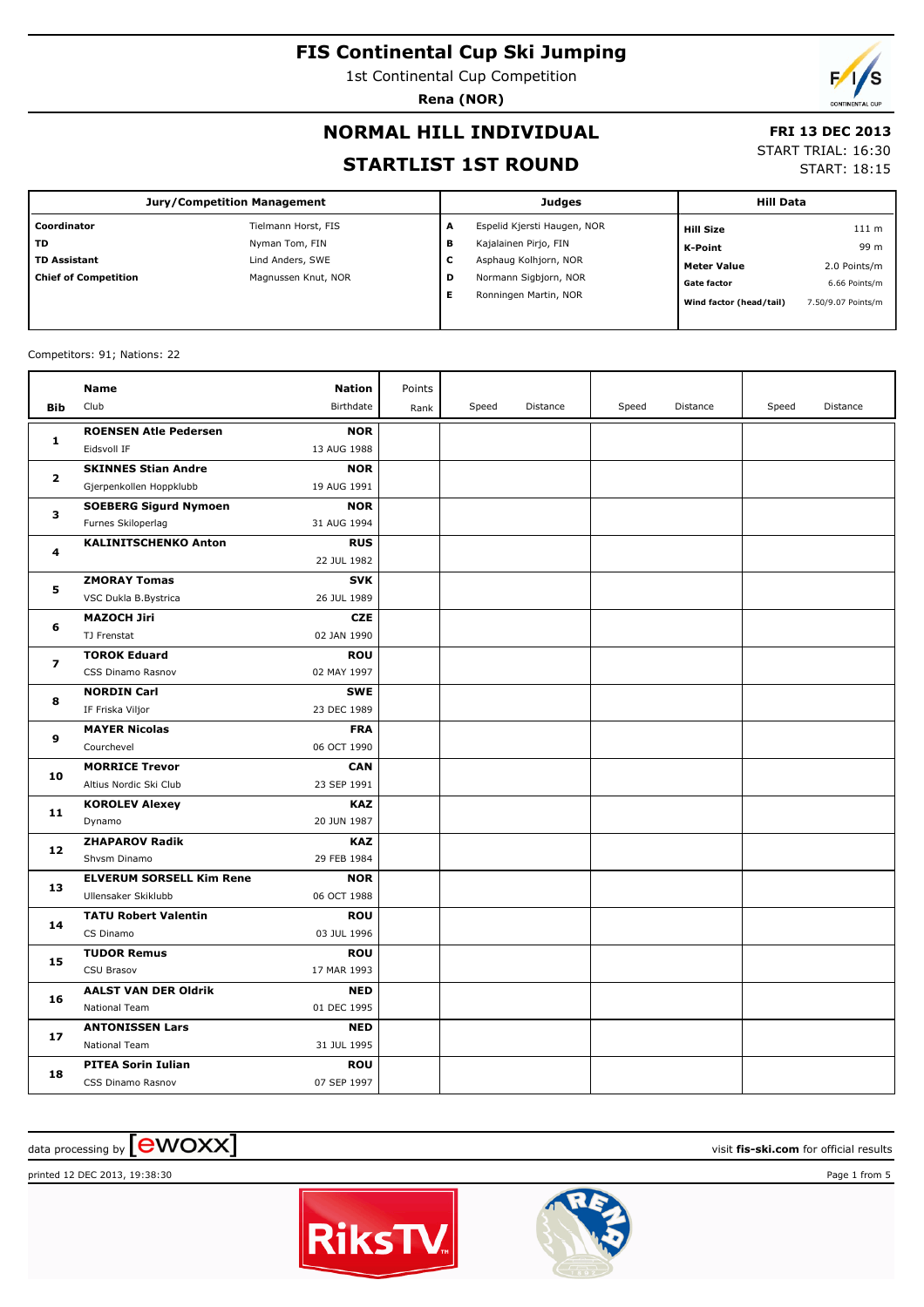1st Continental Cup Competition

**Rena (NOR)**

#### **NORMAL HILL INDIVIDUAL**

#### **FRI 13 DEC 2013**

#### **STARTLIST 1ST ROUND**

START TRIAL: 16:30

START: 18:15

| <b>Jury/Competition Management</b> |                     |   | Judges                      | <b>Hill Data</b>        |                    |  |
|------------------------------------|---------------------|---|-----------------------------|-------------------------|--------------------|--|
| Coordinator                        | Tielmann Horst, FIS | A | Espelid Kjersti Haugen, NOR | <b>Hill Size</b>        | 111 m              |  |
| <b>TD</b>                          | Nyman Tom, FIN      | в | Kajalainen Pirjo, FIN       | K-Point                 | 99 m               |  |
| <b>TD Assistant</b>                | Lind Anders, SWE    | ╰ | Asphaug Kolhjorn, NOR       | <b>Meter Value</b>      | 2.0 Points/m       |  |
| <b>Chief of Competition</b>        | Magnussen Knut, NOR | D | Normann Sigbjorn, NOR       | <b>Gate factor</b>      | 6.66 Points/m      |  |
|                                    |                     |   | Ronningen Martin, NOR       | Wind factor (head/tail) | 7.50/9.07 Points/m |  |
|                                    |                     |   |                             |                         |                    |  |

#### Competitors: 91; Nations: 22

|                         | <b>Name</b>                     | <b>Nation</b> | Points |       |          |       |          |       |          |
|-------------------------|---------------------------------|---------------|--------|-------|----------|-------|----------|-------|----------|
| Bib                     | Club                            | Birthdate     | Rank   | Speed | Distance | Speed | Distance | Speed | Distance |
| $\mathbf{1}$            | <b>ROENSEN Atle Pedersen</b>    | <b>NOR</b>    |        |       |          |       |          |       |          |
|                         | Eidsvoll IF                     | 13 AUG 1988   |        |       |          |       |          |       |          |
| 2                       | <b>SKINNES Stian Andre</b>      | <b>NOR</b>    |        |       |          |       |          |       |          |
|                         | Gjerpenkollen Hoppklubb         | 19 AUG 1991   |        |       |          |       |          |       |          |
| 3                       | <b>SOEBERG Sigurd Nymoen</b>    | <b>NOR</b>    |        |       |          |       |          |       |          |
|                         | Furnes Skiloperlag              | 31 AUG 1994   |        |       |          |       |          |       |          |
| 4                       | <b>KALINITSCHENKO Anton</b>     | <b>RUS</b>    |        |       |          |       |          |       |          |
|                         |                                 | 22 JUL 1982   |        |       |          |       |          |       |          |
| 5                       | <b>ZMORAY Tomas</b>             | <b>SVK</b>    |        |       |          |       |          |       |          |
|                         | VSC Dukla B.Bystrica            | 26 JUL 1989   |        |       |          |       |          |       |          |
| 6                       | <b>MAZOCH Jiri</b>              | <b>CZE</b>    |        |       |          |       |          |       |          |
|                         | TJ Frenstat                     | 02 JAN 1990   |        |       |          |       |          |       |          |
| $\overline{\mathbf{z}}$ | <b>TOROK Eduard</b>             | <b>ROU</b>    |        |       |          |       |          |       |          |
|                         | CSS Dinamo Rasnov               | 02 MAY 1997   |        |       |          |       |          |       |          |
| 8                       | <b>NORDIN Carl</b>              | <b>SWE</b>    |        |       |          |       |          |       |          |
|                         | IF Friska Viljor                | 23 DEC 1989   |        |       |          |       |          |       |          |
| 9                       | <b>MAYER Nicolas</b>            | <b>FRA</b>    |        |       |          |       |          |       |          |
|                         | Courchevel                      | 06 OCT 1990   |        |       |          |       |          |       |          |
| 10                      | <b>MORRICE Trevor</b>           | <b>CAN</b>    |        |       |          |       |          |       |          |
|                         | Altius Nordic Ski Club          | 23 SEP 1991   |        |       |          |       |          |       |          |
| 11                      | <b>KOROLEV Alexey</b>           | <b>KAZ</b>    |        |       |          |       |          |       |          |
|                         | Dynamo                          | 20 JUN 1987   |        |       |          |       |          |       |          |
| 12                      | <b>ZHAPAROV Radik</b>           | <b>KAZ</b>    |        |       |          |       |          |       |          |
|                         | Shvsm Dinamo                    | 29 FEB 1984   |        |       |          |       |          |       |          |
| 13                      | <b>ELVERUM SORSELL Kim Rene</b> | <b>NOR</b>    |        |       |          |       |          |       |          |
|                         | Ullensaker Skiklubb             | 06 OCT 1988   |        |       |          |       |          |       |          |
| 14                      | <b>TATU Robert Valentin</b>     | <b>ROU</b>    |        |       |          |       |          |       |          |
|                         | CS Dinamo                       | 03 JUL 1996   |        |       |          |       |          |       |          |
| 15                      | <b>TUDOR Remus</b>              | <b>ROU</b>    |        |       |          |       |          |       |          |
|                         | CSU Brasov                      | 17 MAR 1993   |        |       |          |       |          |       |          |
| 16                      | <b>AALST VAN DER Oldrik</b>     | <b>NED</b>    |        |       |          |       |          |       |          |
|                         | <b>National Team</b>            | 01 DEC 1995   |        |       |          |       |          |       |          |
| 17                      | <b>ANTONISSEN Lars</b>          | <b>NED</b>    |        |       |          |       |          |       |          |
|                         | <b>National Team</b>            | 31 JUL 1995   |        |       |          |       |          |       |          |
| 18                      | <b>PITEA Sorin Iulian</b>       | <b>ROU</b>    |        |       |          |       |          |       |          |
|                         | CSS Dinamo Rasnov               | 07 SEP 1997   |        |       |          |       |          |       |          |

## data processing by **CWOXX** and  $\overline{C}$  and  $\overline{C}$  and  $\overline{C}$  and  $\overline{C}$  and  $\overline{C}$  and  $\overline{C}$  and  $\overline{C}$  and  $\overline{C}$  and  $\overline{C}$  and  $\overline{C}$  and  $\overline{C}$  and  $\overline{C}$  and  $\overline{C}$  and  $\overline{C}$  and  $\overline{C}$

printed 12 DEC 2013, 19:38:30 Page 1 from 5



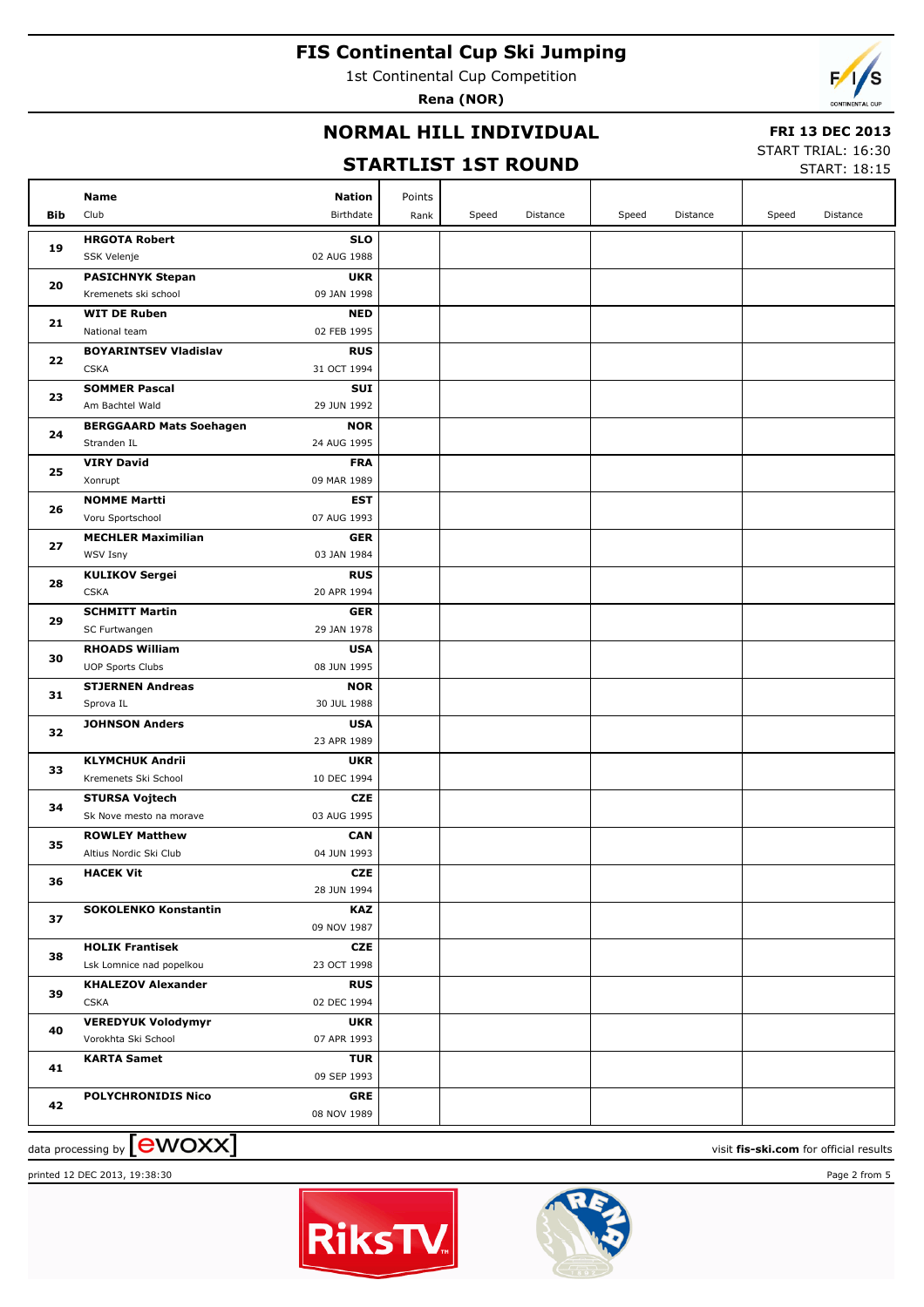1st Continental Cup Competition

**Rena (NOR)**

### **NORMAL HILL INDIVIDUAL**

#### **FRI 13 DEC 2013**

#### **STARTLIST 1ST ROUND**

START TRIAL: 16:30  $STAPT: 18:15$ 

|            |                                |               |        |       |          |       |          |       | <b>PIANI.</b> 10.19 |
|------------|--------------------------------|---------------|--------|-------|----------|-------|----------|-------|---------------------|
|            | Name                           | <b>Nation</b> | Points |       |          |       |          |       |                     |
| <b>Bib</b> | Club                           | Birthdate     | Rank   | Speed | Distance | Speed | Distance | Speed | Distance            |
|            | <b>HRGOTA Robert</b>           | <b>SLO</b>    |        |       |          |       |          |       |                     |
| 19         | SSK Velenje                    | 02 AUG 1988   |        |       |          |       |          |       |                     |
|            | <b>PASICHNYK Stepan</b>        | <b>UKR</b>    |        |       |          |       |          |       |                     |
| 20         | Kremenets ski school           | 09 JAN 1998   |        |       |          |       |          |       |                     |
|            | <b>WIT DE Ruben</b>            | <b>NED</b>    |        |       |          |       |          |       |                     |
| 21         | National team                  | 02 FEB 1995   |        |       |          |       |          |       |                     |
|            | <b>BOYARINTSEV Vladislav</b>   | <b>RUS</b>    |        |       |          |       |          |       |                     |
| 22         | <b>CSKA</b>                    | 31 OCT 1994   |        |       |          |       |          |       |                     |
|            | <b>SOMMER Pascal</b>           | <b>SUI</b>    |        |       |          |       |          |       |                     |
| 23         | Am Bachtel Wald                | 29 JUN 1992   |        |       |          |       |          |       |                     |
|            | <b>BERGGAARD Mats Soehagen</b> | <b>NOR</b>    |        |       |          |       |          |       |                     |
| 24         | Stranden IL                    | 24 AUG 1995   |        |       |          |       |          |       |                     |
|            | <b>VIRY David</b>              | <b>FRA</b>    |        |       |          |       |          |       |                     |
| 25         | Xonrupt                        | 09 MAR 1989   |        |       |          |       |          |       |                     |
|            | <b>NOMME Martti</b>            | <b>EST</b>    |        |       |          |       |          |       |                     |
| 26         | Voru Sportschool               | 07 AUG 1993   |        |       |          |       |          |       |                     |
|            | <b>MECHLER Maximilian</b>      | <b>GER</b>    |        |       |          |       |          |       |                     |
| 27         | WSV Isny                       | 03 JAN 1984   |        |       |          |       |          |       |                     |
|            | <b>KULIKOV Sergei</b>          | <b>RUS</b>    |        |       |          |       |          |       |                     |
| 28         | <b>CSKA</b>                    | 20 APR 1994   |        |       |          |       |          |       |                     |
|            | <b>SCHMITT Martin</b>          | <b>GER</b>    |        |       |          |       |          |       |                     |
| 29         | SC Furtwangen                  | 29 JAN 1978   |        |       |          |       |          |       |                     |
|            | <b>RHOADS William</b>          | <b>USA</b>    |        |       |          |       |          |       |                     |
| 30         | <b>UOP Sports Clubs</b>        | 08 JUN 1995   |        |       |          |       |          |       |                     |
|            | <b>STJERNEN Andreas</b>        | <b>NOR</b>    |        |       |          |       |          |       |                     |
| 31         | Sprova IL                      | 30 JUL 1988   |        |       |          |       |          |       |                     |
| 32         | <b>JOHNSON Anders</b>          | <b>USA</b>    |        |       |          |       |          |       |                     |
|            |                                | 23 APR 1989   |        |       |          |       |          |       |                     |
| 33         | <b>KLYMCHUK Andrii</b>         | <b>UKR</b>    |        |       |          |       |          |       |                     |
|            | Kremenets Ski School           | 10 DEC 1994   |        |       |          |       |          |       |                     |
| 34         | <b>STURSA Vojtech</b>          | <b>CZE</b>    |        |       |          |       |          |       |                     |
|            | Sk Nove mesto na morave        | 03 AUG 1995   |        |       |          |       |          |       |                     |
| 35         | <b>ROWLEY Matthew</b>          | <b>CAN</b>    |        |       |          |       |          |       |                     |
|            | Altius Nordic Ski Club         | 04 JUN 1993   |        |       |          |       |          |       |                     |
| 36         | <b>HACEK Vit</b>               | <b>CZE</b>    |        |       |          |       |          |       |                     |
|            |                                | 28 JUN 1994   |        |       |          |       |          |       |                     |
| 37         | <b>SOKOLENKO Konstantin</b>    | <b>KAZ</b>    |        |       |          |       |          |       |                     |
|            |                                | 09 NOV 1987   |        |       |          |       |          |       |                     |
| 38         | <b>HOLIK Frantisek</b>         | <b>CZE</b>    |        |       |          |       |          |       |                     |
|            | Lsk Lomnice nad popelkou       | 23 OCT 1998   |        |       |          |       |          |       |                     |
| 39         | <b>KHALEZOV Alexander</b>      | <b>RUS</b>    |        |       |          |       |          |       |                     |
|            | <b>CSKA</b>                    | 02 DEC 1994   |        |       |          |       |          |       |                     |
| 40         | <b>VEREDYUK Volodymyr</b>      | <b>UKR</b>    |        |       |          |       |          |       |                     |
|            | Vorokhta Ski School            | 07 APR 1993   |        |       |          |       |          |       |                     |
| 41         | <b>KARTA Samet</b>             | <b>TUR</b>    |        |       |          |       |          |       |                     |
|            |                                | 09 SEP 1993   |        |       |          |       |          |       |                     |
| 42         | <b>POLYCHRONIDIS Nico</b>      | <b>GRE</b>    |        |       |          |       |          |       |                     |
|            |                                | 08 NOV 1989   |        |       |          |       |          |       |                     |

data processing by **CWOXX** The contract of the contract of the visit **fis-ski.com** for official results

printed 12 DEC 2013, 19:38:30 Page 2 from 5



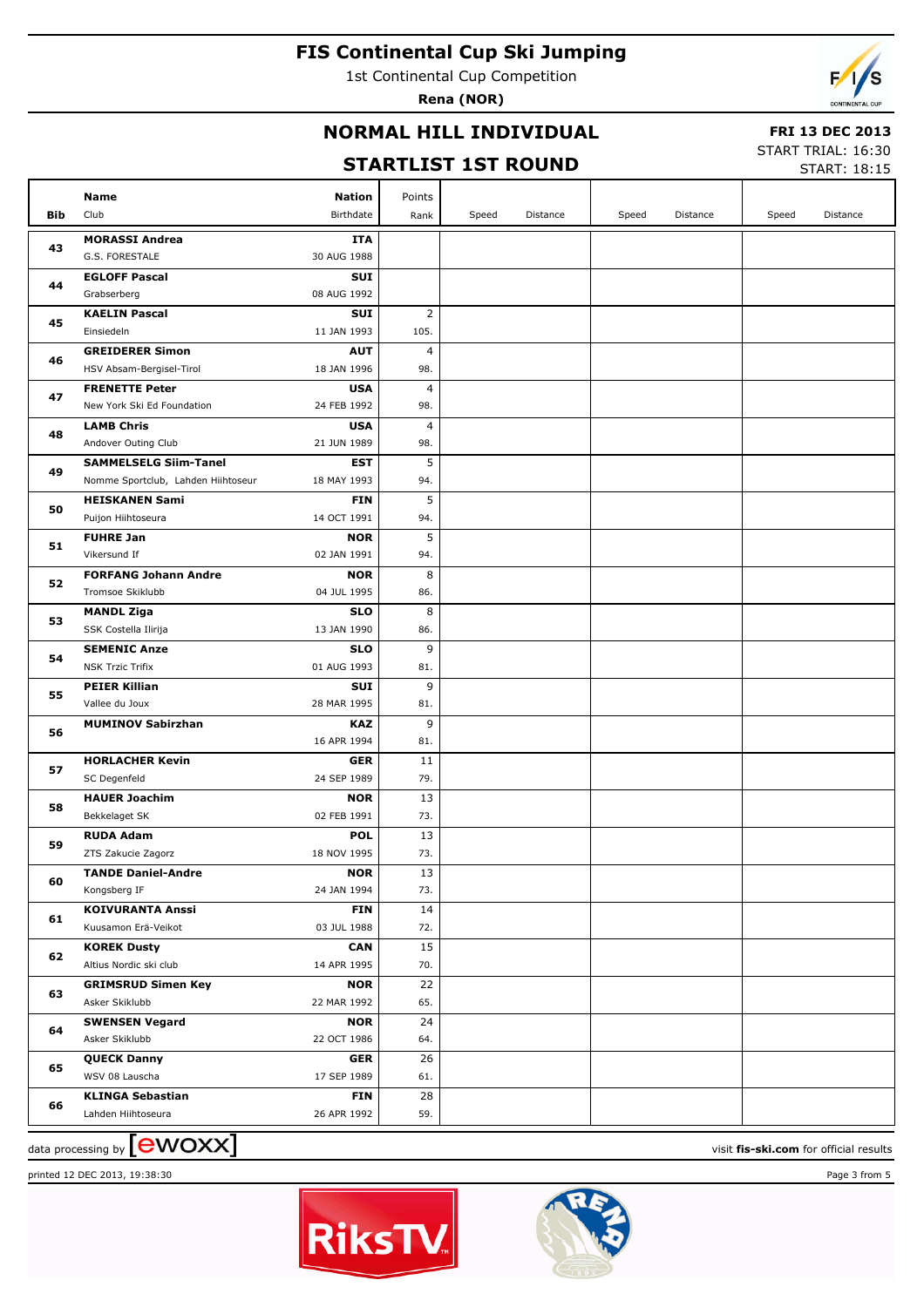1st Continental Cup Competition

**Rena (NOR)**

### **NORMAL HILL INDIVIDUAL**

#### **FRI 13 DEC 2013**

#### **STARTLIST 1ST ROUND**

START TRIAL: 16:30 START: 18:15

|     |                                                 |                           |                |       |          |       |          |       | JIMNI . 10.1J |
|-----|-------------------------------------------------|---------------------------|----------------|-------|----------|-------|----------|-------|---------------|
|     | Name                                            | <b>Nation</b>             | Points         |       |          |       |          |       |               |
| Bib | Club                                            | Birthdate                 | Rank           | Speed | Distance | Speed | Distance | Speed | Distance      |
|     | <b>MORASSI Andrea</b>                           | ITA                       |                |       |          |       |          |       |               |
| 43  | G.S. FORESTALE                                  | 30 AUG 1988               |                |       |          |       |          |       |               |
|     | <b>EGLOFF Pascal</b>                            | <b>SUI</b>                |                |       |          |       |          |       |               |
| 44  | Grabserberg                                     | 08 AUG 1992               |                |       |          |       |          |       |               |
| 45  | <b>KAELIN Pascal</b>                            | <b>SUI</b>                | $\overline{2}$ |       |          |       |          |       |               |
|     | Einsiedeln                                      | 11 JAN 1993               | 105.           |       |          |       |          |       |               |
| 46  | <b>GREIDERER Simon</b>                          | <b>AUT</b>                | 4              |       |          |       |          |       |               |
|     | HSV Absam-Bergisel-Tirol                        | 18 JAN 1996               | 98.            |       |          |       |          |       |               |
| 47  | <b>FRENETTE Peter</b>                           | <b>USA</b>                | 4              |       |          |       |          |       |               |
|     | New York Ski Ed Foundation                      | 24 FEB 1992               | 98.            |       |          |       |          |       |               |
| 48  | <b>LAMB Chris</b>                               | <b>USA</b>                | 4              |       |          |       |          |       |               |
|     | Andover Outing Club                             | 21 JUN 1989               | 98.            |       |          |       |          |       |               |
| 49  | <b>SAMMELSELG Siim-Tanel</b>                    | <b>EST</b>                | 5              |       |          |       |          |       |               |
|     | Nomme Sportclub, Lahden Hiihtoseur              | 18 MAY 1993               | 94.            |       |          |       |          |       |               |
| 50  | <b>HEISKANEN Sami</b>                           | <b>FIN</b>                | 5              |       |          |       |          |       |               |
|     | Puijon Hiihtoseura                              | 14 OCT 1991               | 94.            |       |          |       |          |       |               |
| 51  | <b>FUHRE Jan</b>                                | <b>NOR</b>                | 5              |       |          |       |          |       |               |
|     | Vikersund If                                    | 02 JAN 1991               | 94.            |       |          |       |          |       |               |
| 52  | <b>FORFANG Johann Andre</b><br>Tromsoe Skiklubb | <b>NOR</b><br>04 JUL 1995 | 8<br>86.       |       |          |       |          |       |               |
|     | <b>MANDL Ziga</b>                               | <b>SLO</b>                | 8              |       |          |       |          |       |               |
| 53  | SSK Costella Ilirija                            | 13 JAN 1990               | 86.            |       |          |       |          |       |               |
|     | <b>SEMENIC Anze</b>                             | <b>SLO</b>                | 9              |       |          |       |          |       |               |
| 54  | <b>NSK Trzic Trifix</b>                         | 01 AUG 1993               | 81.            |       |          |       |          |       |               |
|     | <b>PEIER Killian</b>                            | <b>SUI</b>                | 9              |       |          |       |          |       |               |
| 55  | Vallee du Joux                                  | 28 MAR 1995               | 81.            |       |          |       |          |       |               |
|     | <b>MUMINOV Sabirzhan</b>                        | <b>KAZ</b>                | 9              |       |          |       |          |       |               |
| 56  |                                                 | 16 APR 1994               | 81.            |       |          |       |          |       |               |
|     | <b>HORLACHER Kevin</b>                          | <b>GER</b>                | 11             |       |          |       |          |       |               |
| 57  | SC Degenfeld                                    | 24 SEP 1989               | 79.            |       |          |       |          |       |               |
|     | <b>HAUER Joachim</b>                            | <b>NOR</b>                | 13             |       |          |       |          |       |               |
| 58  | Bekkelaget SK                                   | 02 FEB 1991               | 73.            |       |          |       |          |       |               |
| 59  | <b>RUDA Adam</b>                                | <b>POL</b>                | 13             |       |          |       |          |       |               |
|     | ZTS Zakucie Zagorz                              | 18 NOV 1995               | 73.            |       |          |       |          |       |               |
| 60  | <b>TANDE Daniel-Andre</b>                       | <b>NOR</b>                | 13             |       |          |       |          |       |               |
|     | Kongsberg IF                                    | 24 JAN 1994               | 73.            |       |          |       |          |       |               |
| 61  | <b>KOIVURANTA Anssi</b>                         | <b>FIN</b>                | 14             |       |          |       |          |       |               |
|     | Kuusamon Erä-Veikot                             | 03 JUL 1988               | 72.            |       |          |       |          |       |               |
| 62  | <b>KOREK Dusty</b>                              | <b>CAN</b>                | 15             |       |          |       |          |       |               |
|     | Altius Nordic ski club                          | 14 APR 1995               | 70.            |       |          |       |          |       |               |
| 63  | <b>GRIMSRUD Simen Key</b>                       | <b>NOR</b>                | 22             |       |          |       |          |       |               |
|     | Asker Skiklubb                                  | 22 MAR 1992               | 65.            |       |          |       |          |       |               |
| 64  | <b>SWENSEN Vegard</b>                           | <b>NOR</b>                | 24             |       |          |       |          |       |               |
|     | Asker Skiklubb                                  | 22 OCT 1986               | 64.            |       |          |       |          |       |               |
| 65  | <b>QUECK Danny</b><br>WSV 08 Lauscha            | <b>GER</b><br>17 SEP 1989 | 26<br>61.      |       |          |       |          |       |               |
|     | <b>KLINGA Sebastian</b>                         | <b>FIN</b>                | 28             |       |          |       |          |       |               |
| 66  | Lahden Hiihtoseura                              | 26 APR 1992               | 59.            |       |          |       |          |       |               |
|     |                                                 |                           |                |       |          |       |          |       |               |

# data processing by **CWOXX** and  $\overline{C}$  and  $\overline{C}$  and  $\overline{C}$  and  $\overline{C}$  and  $\overline{C}$  and  $\overline{C}$  and  $\overline{C}$  and  $\overline{C}$  and  $\overline{C}$  and  $\overline{C}$  and  $\overline{C}$  and  $\overline{C}$  and  $\overline{C}$  and  $\overline{C}$  and  $\overline{C}$

printed 12 DEC 2013, 19:38:30 Page 3 from 5



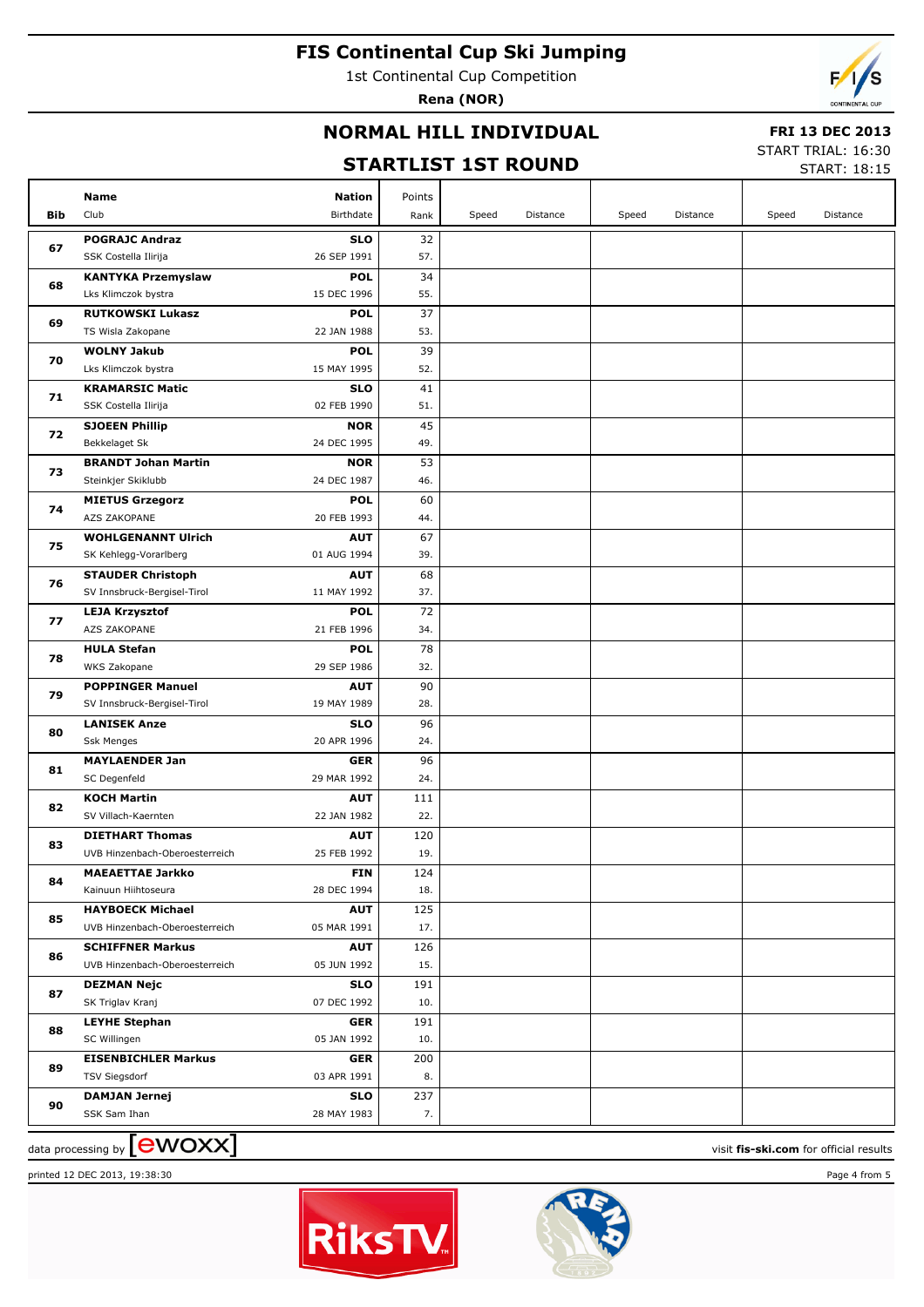1st Continental Cup Competition

**Rena (NOR)**

### **NORMAL HILL INDIVIDUAL**

#### **FRI 13 DEC 2013**

#### **STARTLIST 1ST ROUND**

START TRIAL: 16:30  $STAPT: 18:15$ 

|            |                                |               |        |       |          |       |          |       | <b>PIANI.</b> 10.19 |
|------------|--------------------------------|---------------|--------|-------|----------|-------|----------|-------|---------------------|
|            | <b>Name</b>                    | <b>Nation</b> | Points |       |          |       |          |       |                     |
| <b>Bib</b> | Club                           | Birthdate     | Rank   | Speed | Distance | Speed | Distance | Speed | Distance            |
|            | <b>POGRAJC Andraz</b>          | <b>SLO</b>    | 32     |       |          |       |          |       |                     |
| 67         | SSK Costella Ilirija           | 26 SEP 1991   | 57.    |       |          |       |          |       |                     |
|            | <b>KANTYKA Przemyslaw</b>      | <b>POL</b>    | 34     |       |          |       |          |       |                     |
| 68         | Lks Klimczok bystra            | 15 DEC 1996   | 55.    |       |          |       |          |       |                     |
|            | <b>RUTKOWSKI Lukasz</b>        | <b>POL</b>    | 37     |       |          |       |          |       |                     |
| 69         | TS Wisla Zakopane              | 22 JAN 1988   | 53.    |       |          |       |          |       |                     |
|            | <b>WOLNY Jakub</b>             | <b>POL</b>    | 39     |       |          |       |          |       |                     |
| 70         | Lks Klimczok bystra            | 15 MAY 1995   | 52.    |       |          |       |          |       |                     |
|            | <b>KRAMARSIC Matic</b>         | <b>SLO</b>    | 41     |       |          |       |          |       |                     |
| 71         | SSK Costella Ilirija           | 02 FEB 1990   | 51.    |       |          |       |          |       |                     |
|            | <b>SJOEEN Phillip</b>          | <b>NOR</b>    | 45     |       |          |       |          |       |                     |
| 72         | Bekkelaget Sk                  | 24 DEC 1995   | 49.    |       |          |       |          |       |                     |
|            | <b>BRANDT Johan Martin</b>     | <b>NOR</b>    | 53     |       |          |       |          |       |                     |
| 73         | Steinkjer Skiklubb             | 24 DEC 1987   | 46.    |       |          |       |          |       |                     |
|            | <b>MIETUS Grzegorz</b>         | <b>POL</b>    | 60     |       |          |       |          |       |                     |
| 74         | AZS ZAKOPANE                   | 20 FEB 1993   | 44.    |       |          |       |          |       |                     |
|            | <b>WOHLGENANNT Ulrich</b>      | <b>AUT</b>    | 67     |       |          |       |          |       |                     |
| 75         | SK Kehlegg-Vorarlberg          | 01 AUG 1994   | 39.    |       |          |       |          |       |                     |
|            | <b>STAUDER Christoph</b>       | <b>AUT</b>    | 68     |       |          |       |          |       |                     |
| 76         | SV Innsbruck-Bergisel-Tirol    | 11 MAY 1992   | 37.    |       |          |       |          |       |                     |
|            | <b>LEJA Krzysztof</b>          | <b>POL</b>    | 72     |       |          |       |          |       |                     |
| 77         | AZS ZAKOPANE                   | 21 FEB 1996   | 34.    |       |          |       |          |       |                     |
|            | <b>HULA Stefan</b>             | <b>POL</b>    | 78     |       |          |       |          |       |                     |
| 78         | WKS Zakopane                   | 29 SEP 1986   | 32.    |       |          |       |          |       |                     |
|            | <b>POPPINGER Manuel</b>        | <b>AUT</b>    | 90     |       |          |       |          |       |                     |
| 79         | SV Innsbruck-Bergisel-Tirol    | 19 MAY 1989   | 28.    |       |          |       |          |       |                     |
|            | <b>LANISEK Anze</b>            | <b>SLO</b>    | 96     |       |          |       |          |       |                     |
| 80         | <b>Ssk Menges</b>              | 20 APR 1996   | 24.    |       |          |       |          |       |                     |
|            | <b>MAYLAENDER Jan</b>          | <b>GER</b>    | 96     |       |          |       |          |       |                     |
| 81         | SC Degenfeld                   | 29 MAR 1992   | 24.    |       |          |       |          |       |                     |
|            | <b>KOCH Martin</b>             | <b>AUT</b>    | 111    |       |          |       |          |       |                     |
| 82         | SV Villach-Kaernten            | 22 JAN 1982   | 22.    |       |          |       |          |       |                     |
| 83         | <b>DIETHART Thomas</b>         | <b>AUT</b>    | 120    |       |          |       |          |       |                     |
|            | UVB Hinzenbach-Oberoesterreich | 25 FEB 1992   | 19.    |       |          |       |          |       |                     |
| 84         | <b>MAEAETTAE Jarkko</b>        | FIN           | 124    |       |          |       |          |       |                     |
|            | Kainuun Hiihtoseura            | 28 DEC 1994   | 18.    |       |          |       |          |       |                     |
| 85         | <b>HAYBOECK Michael</b>        | <b>AUT</b>    | 125    |       |          |       |          |       |                     |
|            | UVB Hinzenbach-Oberoesterreich | 05 MAR 1991   | 17.    |       |          |       |          |       |                     |
| 86         | <b>SCHIFFNER Markus</b>        | <b>AUT</b>    | 126    |       |          |       |          |       |                     |
|            | UVB Hinzenbach-Oberoesterreich | 05 JUN 1992   | 15.    |       |          |       |          |       |                     |
| 87         | <b>DEZMAN Nejc</b>             | <b>SLO</b>    | 191    |       |          |       |          |       |                     |
|            | SK Triglav Kranj               | 07 DEC 1992   | 10.    |       |          |       |          |       |                     |
| 88         | <b>LEYHE Stephan</b>           | <b>GER</b>    | 191    |       |          |       |          |       |                     |
|            | SC Willingen                   | 05 JAN 1992   | 10.    |       |          |       |          |       |                     |
| 89         | <b>EISENBICHLER Markus</b>     | <b>GER</b>    | 200    |       |          |       |          |       |                     |
|            | <b>TSV Siegsdorf</b>           | 03 APR 1991   | 8.     |       |          |       |          |       |                     |
| 90         | <b>DAMJAN Jernej</b>           | <b>SLO</b>    | 237    |       |          |       |          |       |                     |
|            | SSK Sam Ihan                   | 28 MAY 1983   | 7.     |       |          |       |          |       |                     |

data processing by **CWOXX** and  $\overline{C}$  and  $\overline{C}$  and  $\overline{C}$  and  $\overline{C}$  and  $\overline{C}$  and  $\overline{C}$  and  $\overline{C}$  and  $\overline{C}$  and  $\overline{C}$  and  $\overline{C}$  and  $\overline{C}$  and  $\overline{C}$  and  $\overline{C}$  and  $\overline{C}$  and  $\overline{C}$ 

printed 12 DEC 2013, 19:38:30 Page 4 from 5